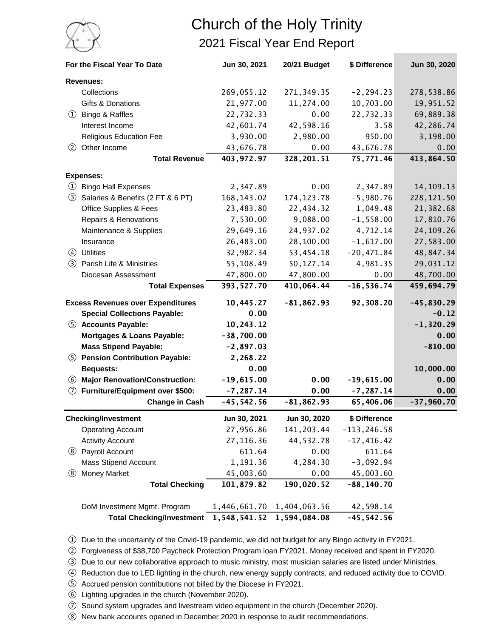

## Church of the Holy Trinity 2021 Fiscal Year End Report

| For the Fiscal Year To Date              |                                       | Jun 30, 2021 | 20/21 Budget  | \$ Difference  | Jun 30, 2020 |
|------------------------------------------|---------------------------------------|--------------|---------------|----------------|--------------|
|                                          | <b>Revenues:</b>                      |              |               |                |              |
|                                          | Collections                           | 269,055.12   | 271, 349.35   | $-2, 294.23$   | 278,538.86   |
|                                          | Gifts & Donations                     | 21,977.00    | 11,274.00     | 10,703.00      | 19,951.52    |
|                                          | 1 Bingo & Raffles                     | 22,732.33    | 0.00          | 22,732.33      | 69,889.38    |
|                                          | Interest Income                       | 42,601.74    | 42,598.16     | 3.58           | 42,286.74    |
|                                          | <b>Religious Education Fee</b>        | 3,930.00     | 2,980.00      | 950.00         | 3,198.00     |
| (2)                                      | Other Income                          | 43,676.78    | 0.00          | 43,676.78      | 0.00         |
|                                          | <b>Total Revenue</b>                  | 403,972.97   | 328,201.51    | 75,771.46      | 413,864.50   |
|                                          | <b>Expenses:</b>                      |              |               |                |              |
| $\circ$                                  | <b>Bingo Hall Expenses</b>            | 2,347.89     | 0.00          | 2,347.89       | 14, 109. 13  |
| (3)                                      | Salaries & Benefits (2 FT & 6 PT)     | 168, 143.02  | 174, 123.78   | $-5,980.76$    | 228, 121.50  |
|                                          | <b>Office Supplies &amp; Fees</b>     | 23,483.80    | 22,434.32     | 1,049.48       | 21,382.68    |
|                                          | Repairs & Renovations                 | 7,530.00     | 9,088.00      | $-1,558.00$    | 17,810.76    |
|                                          | Maintenance & Supplies                | 29,649.16    | 24,937.02     | 4,712.14       | 24, 109. 26  |
|                                          | Insurance                             | 26,483.00    | 28,100.00     | $-1,617.00$    | 27,583.00    |
|                                          | 4 Utilities                           | 32,982.34    | 53,454.18     | $-20,471.84$   | 48,847.34    |
|                                          | 3 Parish Life & Ministries            | 55,108.49    | 50,127.14     | 4,981.35       | 29,031.12    |
|                                          | Diocesan Assessment                   | 47,800.00    | 47,800.00     | 0.00           | 48,700.00    |
|                                          | <b>Total Expenses</b>                 | 393, 527.70  | 410,064.44    | $-16, 536.74$  | 459,694.79   |
| <b>Excess Revenues over Expenditures</b> |                                       | 10,445.27    | $-81, 862.93$ | 92,308.20      | $-45,830.29$ |
|                                          | <b>Special Collections Payable:</b>   | 0.00         |               |                | $-0.12$      |
|                                          | 5 Accounts Payable:                   | 10,243.12    |               |                | $-1,320.29$  |
|                                          | Mortgages & Loans Payable:            | $-38,700.00$ |               |                | 0.00         |
|                                          | <b>Mass Stipend Payable:</b>          | $-2,897.03$  |               |                | $-810.00$    |
|                                          | 5 Pension Contribution Payable:       | 2,268.22     |               |                |              |
|                                          | <b>Bequests:</b>                      | 0.00         |               |                | 10,000.00    |
| (6)                                      | <b>Major Renovation/Construction:</b> | $-19,615.00$ | 0.00          | $-19,615.00$   | 0.00         |
| (7)                                      | Furniture/Equipment over \$500:       | $-7, 287.14$ | 0.00          | $-7, 287.14$   | 0.00         |
|                                          | <b>Change in Cash</b>                 | $-45,542.56$ | $-81, 862.93$ | 65,406.06      | $-37,960.70$ |
| <b>Checking/Investment</b>               |                                       | Jun 30, 2021 | Jun 30, 2020  | \$ Difference  |              |
|                                          | <b>Operating Account</b>              | 27,956.86    | 141, 203.44   | $-113, 246.58$ |              |
|                                          | <b>Activity Account</b>               | 27, 116.36   | 44,532.78     | $-17,416.42$   |              |
|                                          | 8 Payroll Account                     | 611.64       | 0.00          | 611.64         |              |
|                                          | <b>Mass Stipend Account</b>           | 1,191.36     | 4,284.30      | $-3,092.94$    |              |
| $\circledS$                              | <b>Money Market</b>                   | 45,003.60    | 0.00          | 45,003.60      |              |
|                                          | <b>Total Checking</b>                 | 101,879.82   | 190,020.52    | $-88, 140.70$  |              |
|                                          | DoM Investment Mgmt. Program          | 1,446,661.70 | 1,404,063.56  | 42,598.14      |              |
|                                          | <b>Total Checking/Investment</b>      | 1,548,541.52 | 1,594,084.08  | $-45, 542.56$  |              |

① Due to the uncertainty of the Covid-19 pandemic, we did not budget for any Bingo activity in FY2021.

② Forgiveness of \$38,700 Paycheck Protection Program loan FY2021. Money received and spent in FY2020.

③ Due to our new collaborative approach to music ministry, most musician salaries are listed under Ministries.

④ Reduction due to LED lighting in the church, new energy supply contracts, and reduced activity due to COVID.

⑤ Accrued pension contributions not billed by the Diocese in FY2021.

⑥ Lighting upgrades in the church (November 2020).

⑦ Sound system upgrades and livestream video equipment in the church (December 2020).

⑧ New bank accounts opened in December 2020 in response to audit recommendations.